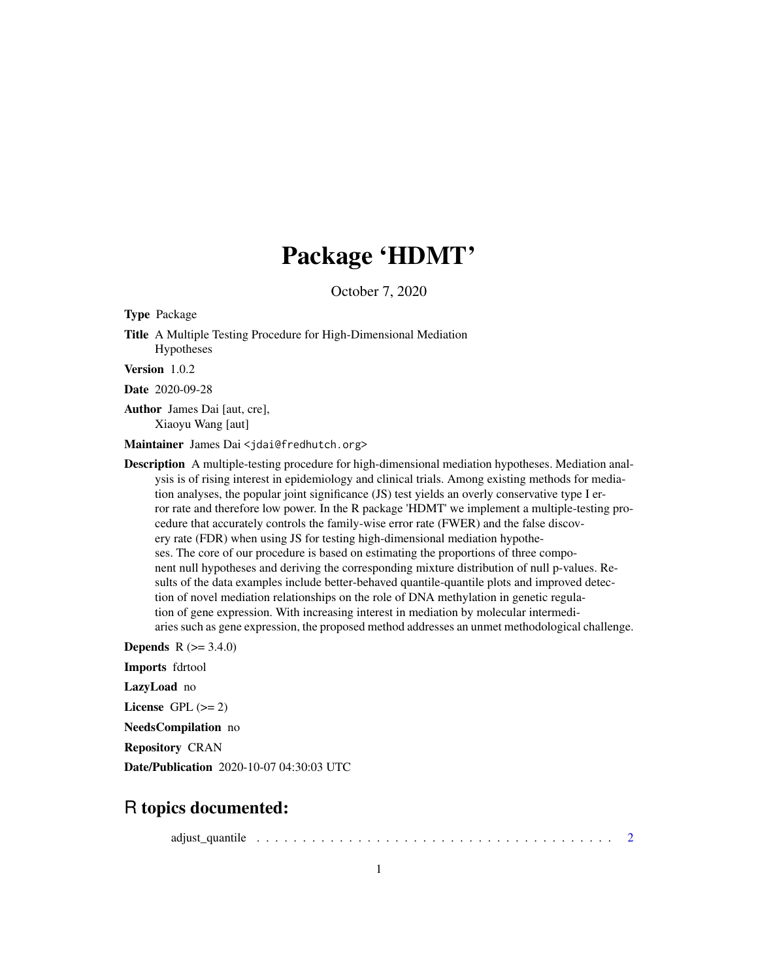## Package 'HDMT'

October 7, 2020

Type Package

Title A Multiple Testing Procedure for High-Dimensional Mediation Hypotheses

Version 1.0.2

Date 2020-09-28

Author James Dai [aut, cre], Xiaoyu Wang [aut]

Maintainer James Dai <jdai@fredhutch.org>

Description A multiple-testing procedure for high-dimensional mediation hypotheses. Mediation analysis is of rising interest in epidemiology and clinical trials. Among existing methods for mediation analyses, the popular joint significance (JS) test yields an overly conservative type I error rate and therefore low power. In the R package 'HDMT' we implement a multiple-testing procedure that accurately controls the family-wise error rate (FWER) and the false discovery rate (FDR) when using JS for testing high-dimensional mediation hypotheses. The core of our procedure is based on estimating the proportions of three component null hypotheses and deriving the corresponding mixture distribution of null p-values. Results of the data examples include better-behaved quantile-quantile plots and improved detection of novel mediation relationships on the role of DNA methylation in genetic regulation of gene expression. With increasing interest in mediation by molecular intermediaries such as gene expression, the proposed method addresses an unmet methodological challenge.

**Depends** R  $(>= 3.4.0)$ 

Imports fdrtool

LazyLoad no

License GPL  $(>= 2)$ 

NeedsCompilation no

Repository CRAN

Date/Publication 2020-10-07 04:30:03 UTC

### R topics documented:

adjust\_quantile . . . . . . . . . . . . . . . . . . . . . . . . . . . . . . . . . . . . . . . [2](#page-1-0)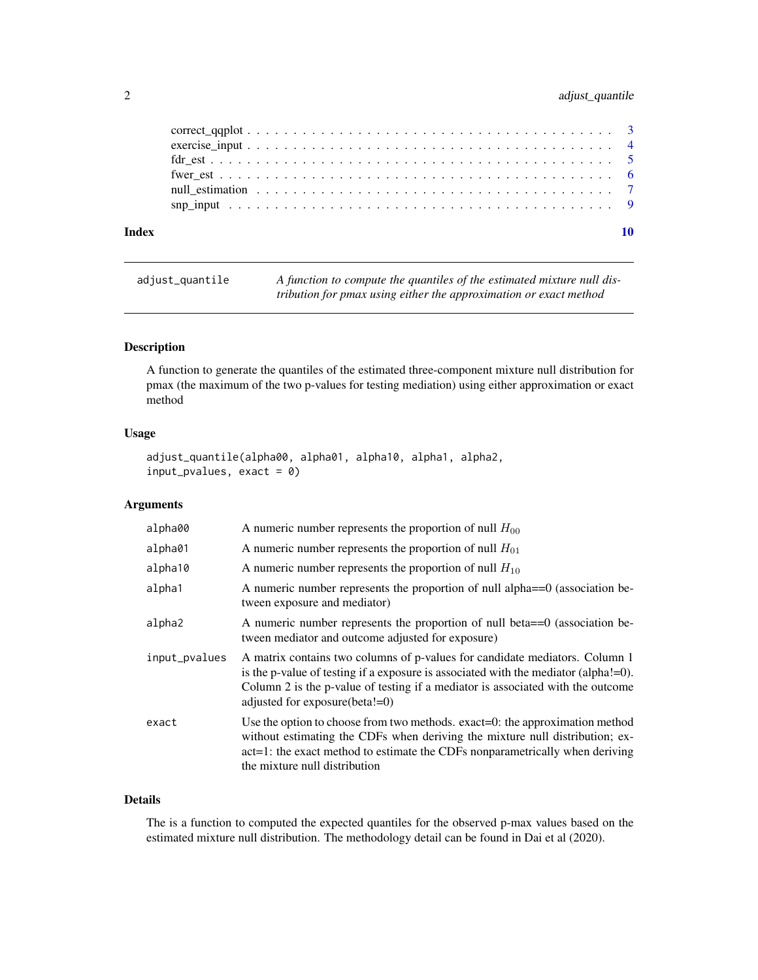#### <span id="page-1-0"></span>2 adjust\_quantile

| Index |                                                                                                                               |  |
|-------|-------------------------------------------------------------------------------------------------------------------------------|--|
|       |                                                                                                                               |  |
|       |                                                                                                                               |  |
|       |                                                                                                                               |  |
|       |                                                                                                                               |  |
|       |                                                                                                                               |  |
|       | $correct\_qaplot \dots \dots \dots \dots \dots \dots \dots \dots \dots \dots \dots \dots \dots \dots \dots \dots \dots \dots$ |  |

adjust\_quantile *A function to compute the quantiles of the estimated mixture null distribution for pmax using either the approximation or exact method*

#### Description

A function to generate the quantiles of the estimated three-component mixture null distribution for pmax (the maximum of the two p-values for testing mediation) using either approximation or exact method

#### Usage

```
adjust_quantile(alpha00, alpha01, alpha10, alpha1, alpha2,
input_pvalues, exact = 0
```
#### Arguments

| alpha00       | A numeric number represents the proportion of null $H_{00}$                                                                                                                                                                                                                                    |
|---------------|------------------------------------------------------------------------------------------------------------------------------------------------------------------------------------------------------------------------------------------------------------------------------------------------|
| alpha01       | A numeric number represents the proportion of null $H_{01}$                                                                                                                                                                                                                                    |
| alpha10       | A numeric number represents the proportion of null $H_{10}$                                                                                                                                                                                                                                    |
| alpha1        | A numeric number represents the proportion of null alpha==0 (association be-<br>tween exposure and mediator)                                                                                                                                                                                   |
| alpha2        | A numeric number represents the proportion of null beta==0 (association be-<br>tween mediator and outcome adjusted for exposure)                                                                                                                                                               |
| input_pvalues | A matrix contains two columns of p-values for candidate mediators. Column 1<br>is the p-value of testing if a exposure is associated with the mediator (alpha! $=$ 0).<br>Column 2 is the p-value of testing if a mediator is associated with the outcome<br>adjusted for exposure $(beta!=0)$ |
| exact         | Use the option to choose from two methods. exact=0: the approximation method<br>without estimating the CDFs when deriving the mixture null distribution; ex-<br>act=1: the exact method to estimate the CDFs nonparametrically when deriving<br>the mixture null distribution                  |

#### Details

The is a function to computed the expected quantiles for the observed p-max values based on the estimated mixture null distribution. The methodology detail can be found in Dai et al (2020).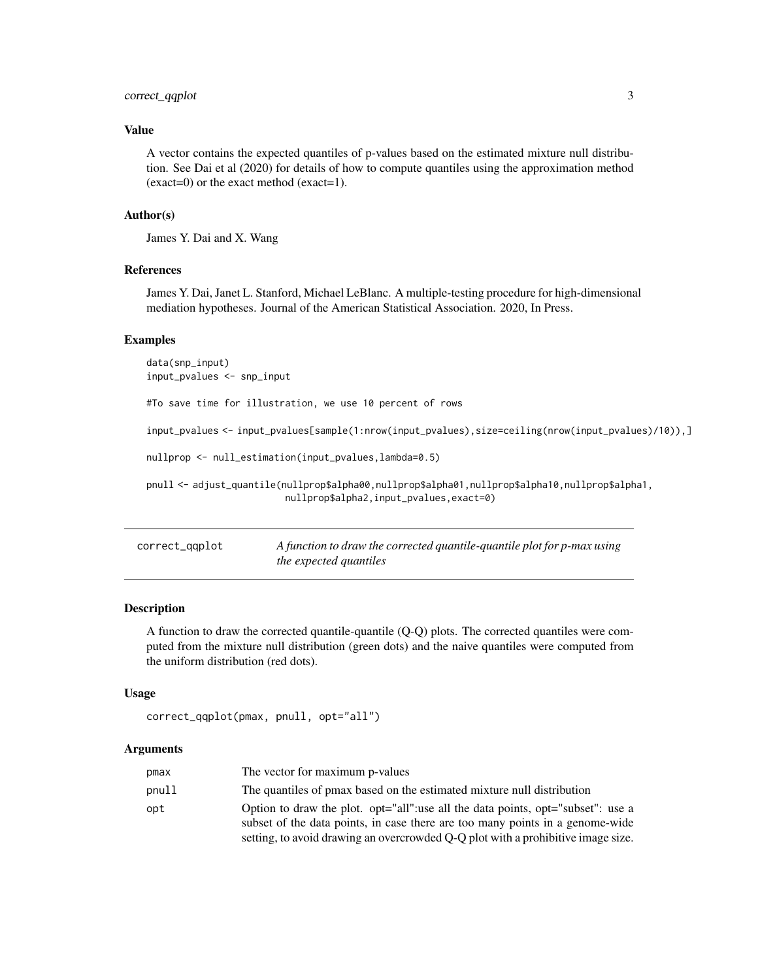#### <span id="page-2-0"></span>correct\_qqplot 3

#### Value

A vector contains the expected quantiles of p-values based on the estimated mixture null distribution. See Dai et al (2020) for details of how to compute quantiles using the approximation method (exact=0) or the exact method (exact=1).

#### Author(s)

James Y. Dai and X. Wang

#### **References**

James Y. Dai, Janet L. Stanford, Michael LeBlanc. A multiple-testing procedure for high-dimensional mediation hypotheses. Journal of the American Statistical Association. 2020, In Press.

#### Examples

data(snp\_input) input\_pvalues <- snp\_input #To save time for illustration, we use 10 percent of rows input\_pvalues <- input\_pvalues[sample(1:nrow(input\_pvalues),size=ceiling(nrow(input\_pvalues)/10)),] nullprop <- null\_estimation(input\_pvalues,lambda=0.5) pnull <- adjust\_quantile(nullprop\$alpha00,nullprop\$alpha01,nullprop\$alpha10,nullprop\$alpha1, nullprop\$alpha2,input\_pvalues,exact=0)

| correct_qqplot | A function to draw the corrected quantile-quantile plot for p-max using |
|----------------|-------------------------------------------------------------------------|
|                | <i>the expected quantiles</i>                                           |

#### Description

A function to draw the corrected quantile-quantile (Q-Q) plots. The corrected quantiles were computed from the mixture null distribution (green dots) and the naive quantiles were computed from the uniform distribution (red dots).

#### Usage

```
correct_qqplot(pmax, pnull, opt="all")
```
#### Arguments

| pmax  | The vector for maximum p-values                                                                                                                                                                                                                      |
|-------|------------------------------------------------------------------------------------------------------------------------------------------------------------------------------------------------------------------------------------------------------|
| pnull | The quantiles of pmax based on the estimated mixture null distribution                                                                                                                                                                               |
| opt   | Option to draw the plot. opt="all":use all the data points, opt="subset": use a<br>subset of the data points, in case there are too many points in a genome-wide<br>setting, to avoid drawing an overcrowded Q-Q plot with a prohibitive image size. |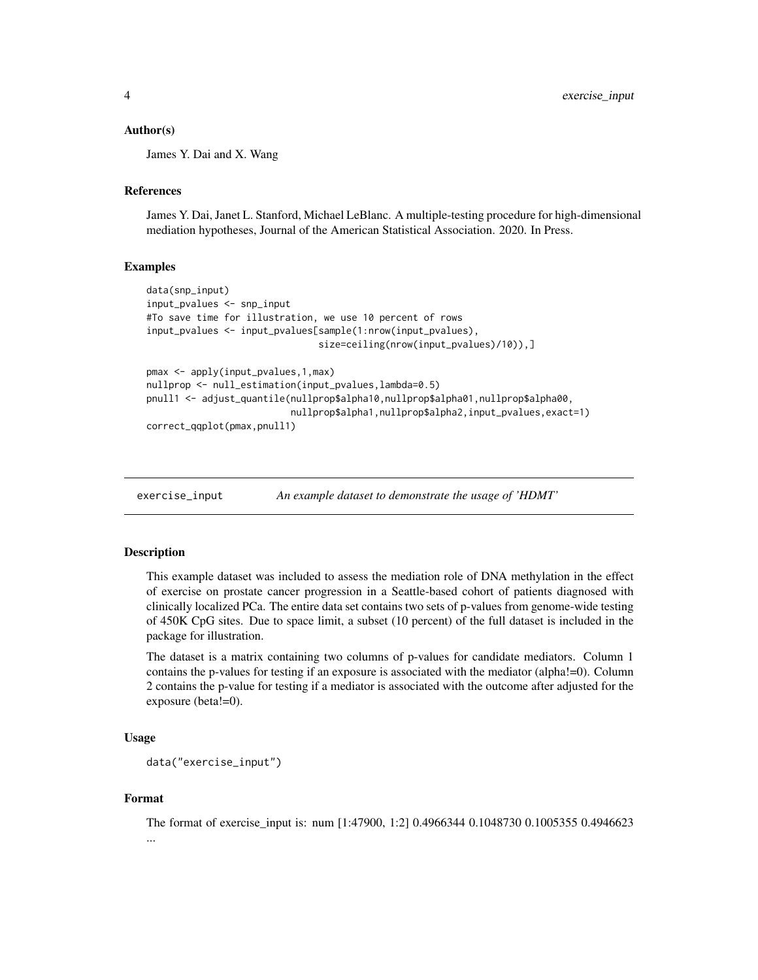#### <span id="page-3-0"></span>Author(s)

James Y. Dai and X. Wang

#### References

James Y. Dai, Janet L. Stanford, Michael LeBlanc. A multiple-testing procedure for high-dimensional mediation hypotheses, Journal of the American Statistical Association. 2020. In Press.

#### Examples

```
data(snp_input)
input_pvalues <- snp_input
#To save time for illustration, we use 10 percent of rows
input_pvalues <- input_pvalues[sample(1:nrow(input_pvalues),
                               size=ceiling(nrow(input_pvalues)/10)),]
pmax <- apply(input_pvalues,1,max)
nullprop <- null_estimation(input_pvalues,lambda=0.5)
pnull1 <- adjust_quantile(nullprop$alpha10,nullprop$alpha01,nullprop$alpha00,
                          nullprop$alpha1,nullprop$alpha2,input_pvalues,exact=1)
```

```
correct_qqplot(pmax,pnull1)
```
exercise\_input *An example dataset to demonstrate the usage of 'HDMT'*

#### Description

This example dataset was included to assess the mediation role of DNA methylation in the effect of exercise on prostate cancer progression in a Seattle-based cohort of patients diagnosed with clinically localized PCa. The entire data set contains two sets of p-values from genome-wide testing of 450K CpG sites. Due to space limit, a subset (10 percent) of the full dataset is included in the package for illustration.

The dataset is a matrix containing two columns of p-values for candidate mediators. Column 1 contains the p-values for testing if an exposure is associated with the mediator (alpha!=0). Column 2 contains the p-value for testing if a mediator is associated with the outcome after adjusted for the exposure (beta!=0).

#### Usage

```
data("exercise_input")
```
#### Format

The format of exercise\_input is: num [1:47900, 1:2] 0.4966344 0.1048730 0.1005355 0.4946623 ...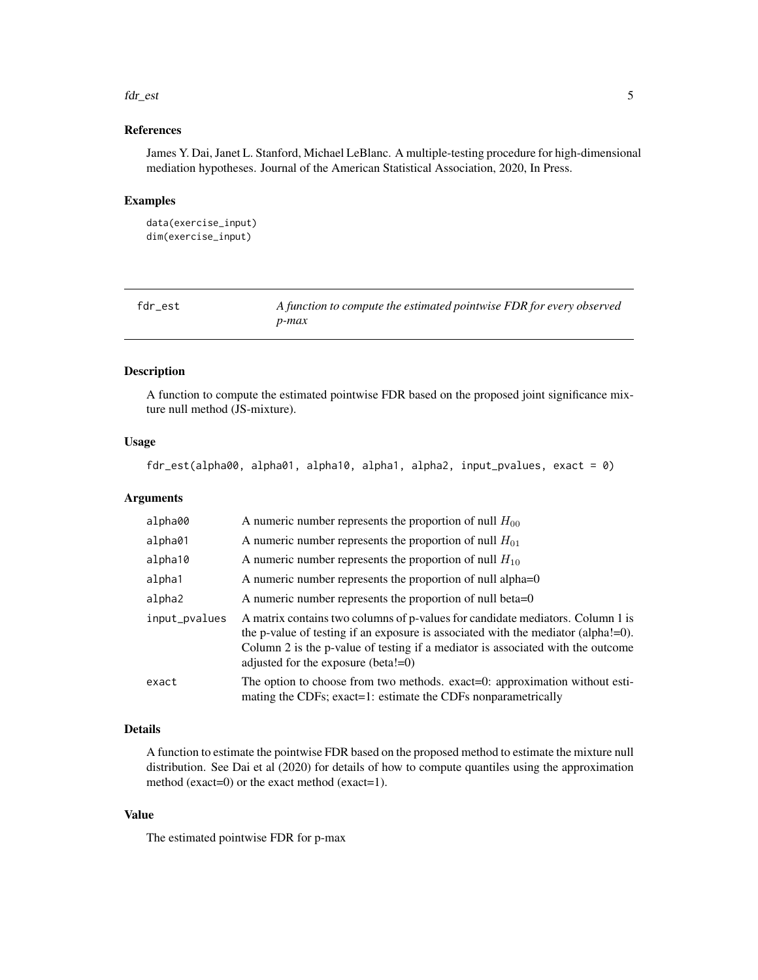#### <span id="page-4-0"></span>fdr\_est 5

#### References

James Y. Dai, Janet L. Stanford, Michael LeBlanc. A multiple-testing procedure for high-dimensional mediation hypotheses. Journal of the American Statistical Association, 2020, In Press.

#### Examples

```
data(exercise_input)
dim(exercise_input)
```

| fdr est | A function to compute the estimated pointwise FDR for every observed |
|---------|----------------------------------------------------------------------|
|         | p-max                                                                |

#### Description

A function to compute the estimated pointwise FDR based on the proposed joint significance mixture null method (JS-mixture).

#### Usage

fdr\_est(alpha00, alpha01, alpha10, alpha1, alpha2, input\_pvalues, exact = 0)

#### Arguments

| alpha00       | A numeric number represents the proportion of null $H_{00}$                                                                                                                                                                                                                                            |
|---------------|--------------------------------------------------------------------------------------------------------------------------------------------------------------------------------------------------------------------------------------------------------------------------------------------------------|
| alpha01       | A numeric number represents the proportion of null $H_{01}$                                                                                                                                                                                                                                            |
| alpha10       | A numeric number represents the proportion of null $H_{10}$                                                                                                                                                                                                                                            |
| alpha1        | A numeric number represents the proportion of null alpha= $0$                                                                                                                                                                                                                                          |
| alpha2        | A numeric number represents the proportion of null beta=0                                                                                                                                                                                                                                              |
| input_pvalues | A matrix contains two columns of p-values for candidate mediators. Column 1 is<br>the p-value of testing if an exposure is associated with the mediator (alpha! $= 0$ ).<br>Column 2 is the p-value of testing if a mediator is associated with the outcome<br>adjusted for the exposure (beta! $=0$ ) |
| exact         | The option to choose from two methods. exact=0: approximation without esti-<br>mating the CDFs; exact=1: estimate the CDFs nonparametrically                                                                                                                                                           |
|               |                                                                                                                                                                                                                                                                                                        |

#### Details

A function to estimate the pointwise FDR based on the proposed method to estimate the mixture null distribution. See Dai et al (2020) for details of how to compute quantiles using the approximation method (exact=0) or the exact method (exact=1).

#### Value

The estimated pointwise FDR for p-max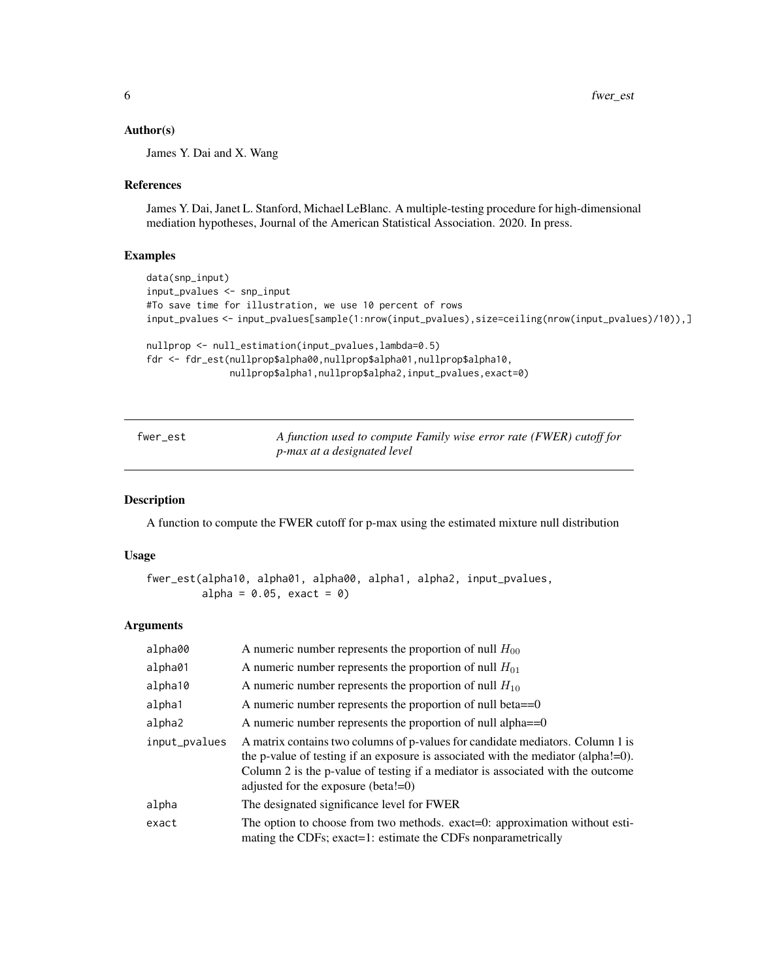#### <span id="page-5-0"></span>Author(s)

James Y. Dai and X. Wang

#### References

James Y. Dai, Janet L. Stanford, Michael LeBlanc. A multiple-testing procedure for high-dimensional mediation hypotheses, Journal of the American Statistical Association. 2020. In press.

#### Examples

```
data(snp_input)
input_pvalues <- snp_input
#To save time for illustration, we use 10 percent of rows
input_pvalues <- input_pvalues[sample(1:nrow(input_pvalues),size=ceiling(nrow(input_pvalues)/10)),]
nullprop <- null_estimation(input_pvalues,lambda=0.5)
fdr <- fdr_est(nullprop$alpha00,nullprop$alpha01,nullprop$alpha10,
               nullprop$alpha1,nullprop$alpha2,input_pvalues,exact=0)
```

| fwer_est | A function used to compute Family wise error rate (FWER) cutoff for |
|----------|---------------------------------------------------------------------|
|          | <i>p-max at a designated level</i>                                  |

#### Description

A function to compute the FWER cutoff for p-max using the estimated mixture null distribution

#### Usage

```
fwer_est(alpha10, alpha01, alpha00, alpha1, alpha2, input_pvalues,
         alpha = 0.05, exact = 0)
```
#### Arguments

| alpha00       | A numeric number represents the proportion of null $H_{00}$                                                                                                                                                                                                                                           |
|---------------|-------------------------------------------------------------------------------------------------------------------------------------------------------------------------------------------------------------------------------------------------------------------------------------------------------|
| alpha01       | A numeric number represents the proportion of null $H_{01}$                                                                                                                                                                                                                                           |
| alpha10       | A numeric number represents the proportion of null $H_{10}$                                                                                                                                                                                                                                           |
| alpha1        | A numeric number represents the proportion of null beta $==0$                                                                                                                                                                                                                                         |
| alpha2        | A numeric number represents the proportion of null alpha $==0$                                                                                                                                                                                                                                        |
| input_pvalues | A matrix contains two columns of p-values for candidate mediators. Column 1 is<br>the p-value of testing if an exposure is associated with the mediator (alpha! $=$ 0).<br>Column 2 is the p-value of testing if a mediator is associated with the outcome<br>adjusted for the exposure (beta! $=0$ ) |
| alpha         | The designated significance level for FWER                                                                                                                                                                                                                                                            |
| exact         | The option to choose from two methods. exact=0: approximation without esti-<br>mating the CDFs; exact=1: estimate the CDFs nonparametrically                                                                                                                                                          |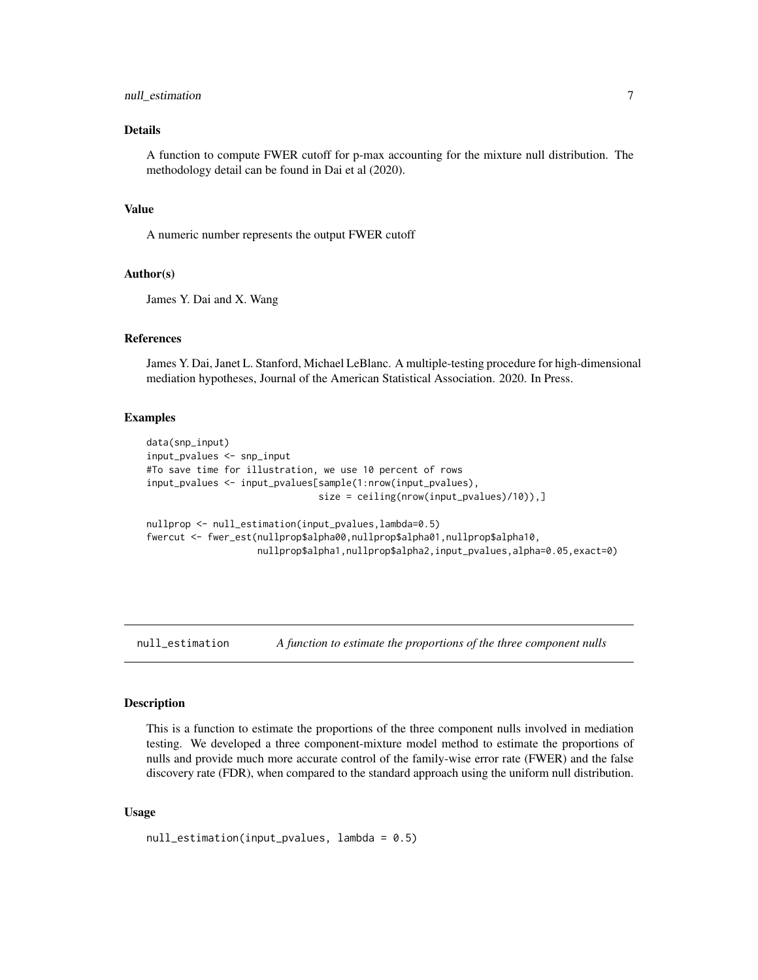#### <span id="page-6-0"></span>null\_estimation 7

#### Details

A function to compute FWER cutoff for p-max accounting for the mixture null distribution. The methodology detail can be found in Dai et al (2020).

#### Value

A numeric number represents the output FWER cutoff

#### Author(s)

James Y. Dai and X. Wang

#### References

James Y. Dai, Janet L. Stanford, Michael LeBlanc. A multiple-testing procedure for high-dimensional mediation hypotheses, Journal of the American Statistical Association. 2020. In Press.

#### Examples

```
data(snp_input)
input_pvalues <- snp_input
#To save time for illustration, we use 10 percent of rows
input_pvalues <- input_pvalues[sample(1:nrow(input_pvalues),
                               size = ceiling(nrow(input_pvalues)/10)),]
nullprop <- null_estimation(input_pvalues,lambda=0.5)
fwercut <- fwer_est(nullprop$alpha00,nullprop$alpha01,nullprop$alpha10,
                    nullprop$alpha1,nullprop$alpha2,input_pvalues,alpha=0.05,exact=0)
```
null\_estimation *A function to estimate the proportions of the three component nulls*

#### Description

This is a function to estimate the proportions of the three component nulls involved in mediation testing. We developed a three component-mixture model method to estimate the proportions of nulls and provide much more accurate control of the family-wise error rate (FWER) and the false discovery rate (FDR), when compared to the standard approach using the uniform null distribution.

#### Usage

```
null_estimation(input_pvalues, lambda = 0.5)
```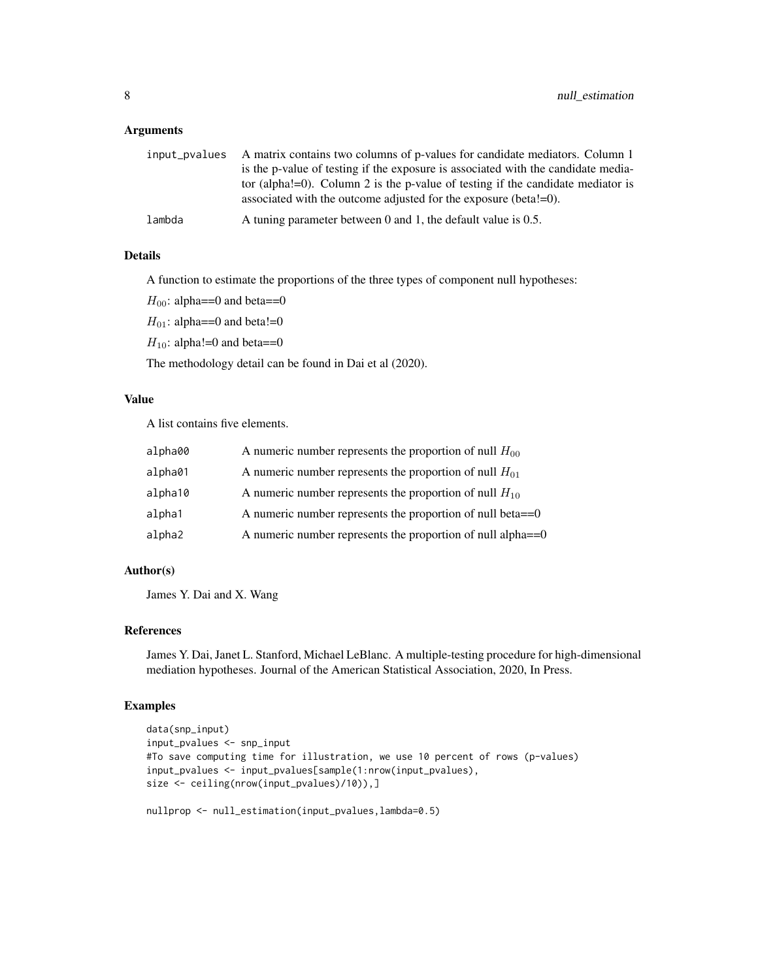#### Arguments

|        | input_pvalues A matrix contains two columns of p-values for candidate mediators. Column 1 |
|--------|-------------------------------------------------------------------------------------------|
|        | is the p-value of testing if the exposure is associated with the candidate media-         |
|        | tor (alpha!=0). Column 2 is the p-value of testing if the candidate mediator is           |
|        | associated with the outcome adjusted for the exposure (beta! $=0$ ).                      |
| lambda | A tuning parameter between 0 and 1, the default value is $0.5$ .                          |

#### Details

A function to estimate the proportions of the three types of component null hypotheses:

 $H_{00}$ : alpha==0 and beta==0

 $H_{01}$ : alpha==0 and beta!=0

 $H_{10}$ : alpha!=0 and beta==0

The methodology detail can be found in Dai et al (2020).

#### Value

A list contains five elements.

| alpha00 | A numeric number represents the proportion of null $H_{00}$    |
|---------|----------------------------------------------------------------|
| alpha01 | A numeric number represents the proportion of null $H_{01}$    |
| alpha10 | A numeric number represents the proportion of null $H_{10}$    |
| alpha1  | A numeric number represents the proportion of null beta $==0$  |
| alpha2  | A numeric number represents the proportion of null alpha $==0$ |

#### Author(s)

James Y. Dai and X. Wang

#### References

James Y. Dai, Janet L. Stanford, Michael LeBlanc. A multiple-testing procedure for high-dimensional mediation hypotheses. Journal of the American Statistical Association, 2020, In Press.

#### Examples

```
data(snp_input)
input_pvalues <- snp_input
#To save computing time for illustration, we use 10 percent of rows (p-values)
input_pvalues <- input_pvalues[sample(1:nrow(input_pvalues),
size <- ceiling(nrow(input_pvalues)/10)),]
```
nullprop <- null\_estimation(input\_pvalues,lambda=0.5)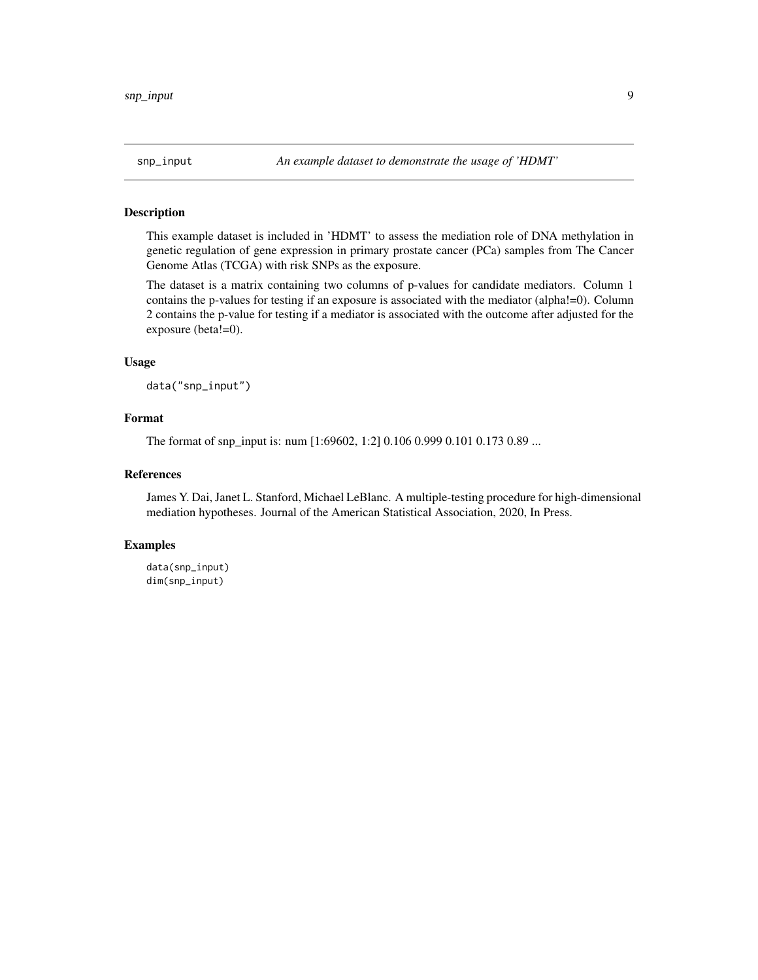<span id="page-8-0"></span>

#### Description

This example dataset is included in 'HDMT' to assess the mediation role of DNA methylation in genetic regulation of gene expression in primary prostate cancer (PCa) samples from The Cancer Genome Atlas (TCGA) with risk SNPs as the exposure.

The dataset is a matrix containing two columns of p-values for candidate mediators. Column 1 contains the p-values for testing if an exposure is associated with the mediator (alpha!=0). Column 2 contains the p-value for testing if a mediator is associated with the outcome after adjusted for the exposure (beta!=0).

#### Usage

data("snp\_input")

#### Format

The format of snp\_input is: num [1:69602, 1:2] 0.106 0.999 0.101 0.173 0.89 ...

#### References

James Y. Dai, Janet L. Stanford, Michael LeBlanc. A multiple-testing procedure for high-dimensional mediation hypotheses. Journal of the American Statistical Association, 2020, In Press.

#### Examples

data(snp\_input) dim(snp\_input)